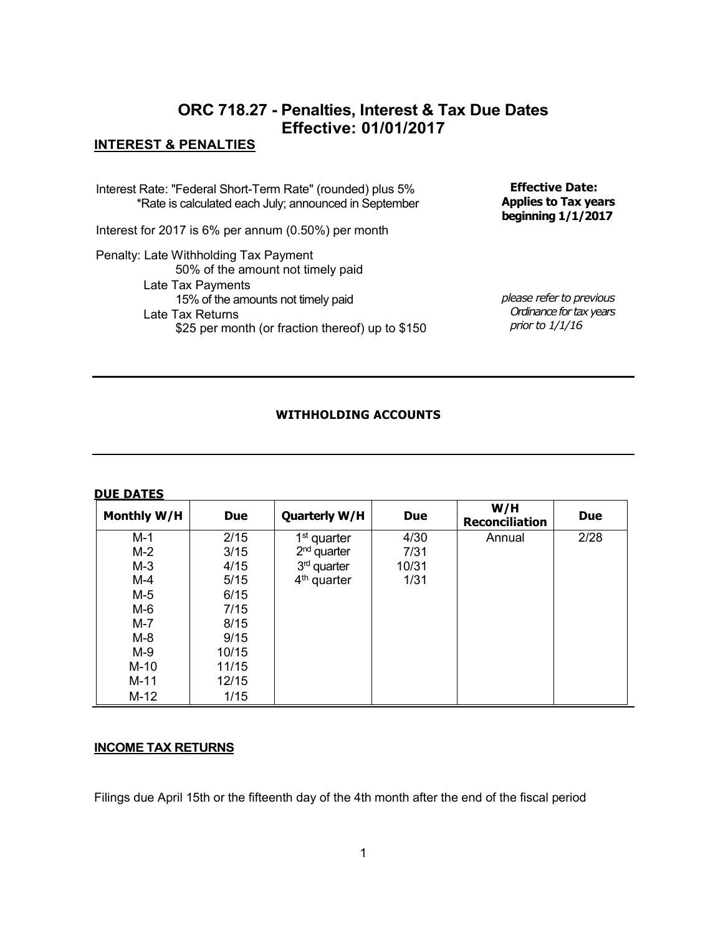# ORC 718.27 - Penalties, Interest & Tax Due Dates Effective: 01/01/2017

## INTEREST & PENALTIES

Interest Rate: "Federal Short-Term Rate" (rounded) plus 5% \*Rate is calculated each July; announced in September

Interest for 2017 is 6% per annum (0.50%) per month

Penalty: Late Withholding Tax Payment 50% of the amount not timely paid Late Tax Payments 15% of the amounts not timely paid Late Tax Returns \$25 per month (or fraction thereof) up to \$150

Effective Date: Applies to Tax years beginning 1/1/2017

*please refer to previous Ordinance for tax years prior to 1/1/16*

#### WITHHOLDING ACCOUNTS

DUE DATES

| Monthly W/H | <b>Due</b> | Quarterly W/H | <b>Due</b> | W/H<br><b>Reconciliation</b> | <b>Due</b> |
|-------------|------------|---------------|------------|------------------------------|------------|
| $M-1$       | 2/15       | $1st$ quarter | 4/30       | Annual                       | 2/28       |
| $M-2$       | 3/15       | $2nd$ quarter | 7/31       |                              |            |
| $M-3$       | 4/15       | $3rd$ quarter | 10/31      |                              |            |
| $M-4$       | 5/15       | $4th$ quarter | 1/31       |                              |            |
| $M-5$       | 6/15       |               |            |                              |            |
| $M-6$       | 7/15       |               |            |                              |            |
| $M-7$       | 8/15       |               |            |                              |            |
| $M-8$       | 9/15       |               |            |                              |            |
| $M-9$       | 10/15      |               |            |                              |            |
| $M-10$      | 11/15      |               |            |                              |            |
| $M-11$      | 12/15      |               |            |                              |            |
| $M-12$      | 1/15       |               |            |                              |            |

#### INCOME TAX RETURNS

Filings due April 15th or the fifteenth day of the 4th month after the end of the fiscal period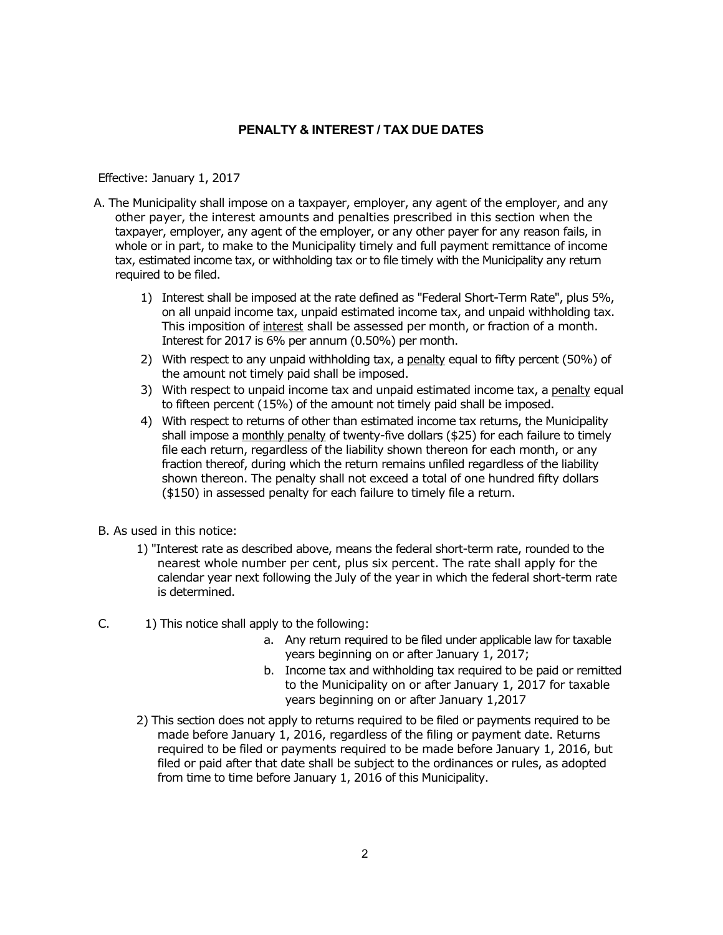#### PENALTY & INTEREST / TAX DUE DATES

#### Effective: January 1, 2017

- A. The Municipality shall impose on a taxpayer, employer, any agent of the employer, and any other payer, the interest amounts and penalties prescribed in this section when the taxpayer, employer, any agent of the employer, or any other payer for any reason fails, in whole or in part, to make to the Municipality timely and full payment remittance of income tax, estimated income tax, or withholding tax or to file timely with the Municipality any return required to be filed.
	- 1) Interest shall be imposed at the rate defined as "Federal Short-Term Rate", plus 5%, on all unpaid income tax, unpaid estimated income tax, and unpaid withholding tax. This imposition of interest shall be assessed per month, or fraction of a month. Interest for 2017 is 6% per annum (0.50%) per month.
	- 2) With respect to any unpaid withholding tax, a penalty equal to fifty percent (50%) of the amount not timely paid shall be imposed.
	- 3) With respect to unpaid income tax and unpaid estimated income tax, a penalty equal to fifteen percent (15%) of the amount not timely paid shall be imposed.
	- 4) With respect to returns of other than estimated income tax returns, the Municipality shall impose a monthly penalty of twenty-five dollars ( $$25$ ) for each failure to timely file each return, regardless of the liability shown thereon for each month, or any fraction thereof, during which the return remains unfiled regardless of the liability shown thereon. The penalty shall not exceed a total of one hundred fifty dollars (\$150) in assessed penalty for each failure to timely file a return.
- B. As used in this notice:
	- 1) "Interest rate as described above, means the federal short-term rate, rounded to the nearest whole number per cent, plus six percent. The rate shall apply for the calendar year next following the July of the year in which the federal short-term rate is determined.
- C. 1) This notice shall apply to the following:
	- a. Any return required to be filed under applicable law for taxable years beginning on or after January 1, 2017;
	- b. Income tax and withholding tax required to be paid or remitted to the Municipality on or after January 1, 2017 for taxable years beginning on or after January 1,2017
	- 2) This section does not apply to returns required to be filed or payments required to be made before January 1, 2016, regardless of the filing or payment date. Returns required to be filed or payments required to be made before January 1, 2016, but filed or paid after that date shall be subject to the ordinances or rules, as adopted from time to time before January 1, 2016 of this Municipality.